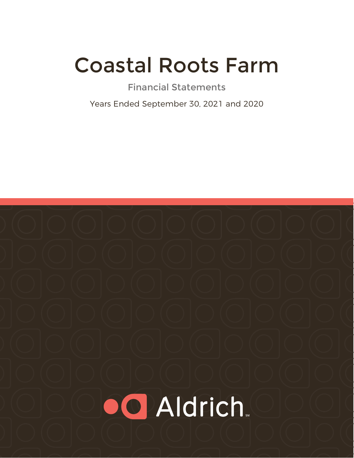# Coastal Roots Farm

Financial Statements

Years Ended September 30, 2021 and 2020

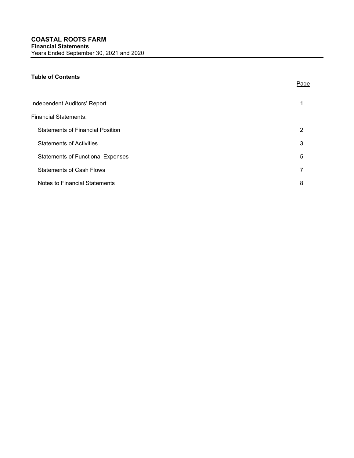# Table of Contents

| Independent Auditors' Report             |   |
|------------------------------------------|---|
| <b>Financial Statements:</b>             |   |
| <b>Statements of Financial Position</b>  | 2 |
| <b>Statements of Activities</b>          | 3 |
| <b>Statements of Functional Expenses</b> | 5 |
| <b>Statements of Cash Flows</b>          |   |
| Notes to Financial Statements            | 8 |

Page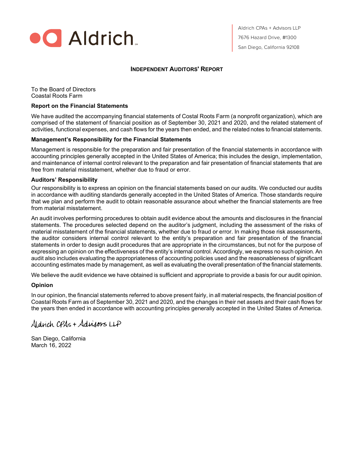

Aldrich CPAs + Advisors LLP 7676 Hazard Drive, #1300 San Diego, California 92108

# INDEPENDENT AUDITORS' REPORT

To the Board of Directors Coastal Roots Farm

#### Report on the Financial Statements

We have audited the accompanying financial statements of Costal Roots Farm (a nonprofit organization), which are comprised of the statement of financial position as of September 30, 2021 and 2020, and the related statement of activities, functional expenses, and cash flows for the years then ended, and the related notes to financial statements.

## Management's Responsibility for the Financial Statements

Management is responsible for the preparation and fair presentation of the financial statements in accordance with accounting principles generally accepted in the United States of America; this includes the design, implementation, and maintenance of internal control relevant to the preparation and fair presentation of financial statements that are free from material misstatement, whether due to fraud or error.

## Auditors' Responsibility

Our responsibility is to express an opinion on the financial statements based on our audits. We conducted our audits in accordance with auditing standards generally accepted in the United States of America. Those standards require that we plan and perform the audit to obtain reasonable assurance about whether the financial statements are free from material misstatement.

An audit involves performing procedures to obtain audit evidence about the amounts and disclosures in the financial statements. The procedures selected depend on the auditor's judgment, including the assessment of the risks of material misstatement of the financial statements, whether due to fraud or error. In making those risk assessments, the auditor considers internal control relevant to the entity's preparation and fair presentation of the financial statements in order to design audit procedures that are appropriate in the circumstances, but not for the purpose of expressing an opinion on the effectiveness of the entity's internal control. Accordingly, we express no such opinion. An audit also includes evaluating the appropriateness of accounting policies used and the reasonableness of significant accounting estimates made by management, as well as evaluating the overall presentation of the financial statements.

We believe the audit evidence we have obtained is sufficient and appropriate to provide a basis for our audit opinion.

## Opinion

In our opinion, the financial statements referred to above present fairly, in all material respects, the financial position of Coastal Roots Farm as of September 30, 2021 and 2020, and the changes in their net assets and their cash flows for the years then ended in accordance with accounting principles generally accepted in the United States of America.

# Aldrich CPAs + Adrigons LLP

San Diego, California March 16, 2022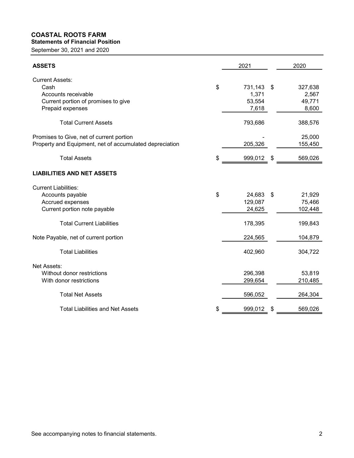# COASTAL ROOTS FARM Statements of Financial Position

| <b>COASTAL ROOTS FARM</b><br><b>Statements of Financial Position</b> |                    |                 |
|----------------------------------------------------------------------|--------------------|-----------------|
| September 30, 2021 and 2020                                          |                    |                 |
|                                                                      |                    |                 |
| <b>ASSETS</b>                                                        | 2021               | 2020            |
| <b>Current Assets:</b>                                               |                    |                 |
| Cash                                                                 | \$<br>731,143 \$   | 327,638         |
| Accounts receivable                                                  | 1,371              | 2,567           |
| Current portion of promises to give<br>Prepaid expenses              | 53,554<br>7,618    | 49,771<br>8,600 |
|                                                                      |                    |                 |
| <b>Total Current Assets</b>                                          | 793,686            | 388,576         |
| Promises to Give, net of current portion                             |                    | 25,000          |
| Property and Equipment, net of accumulated depreciation              | 205,326            | 155,450         |
| <b>Total Assets</b>                                                  | \$<br>999,012 \$   | 569,026         |
| <b>LIABILITIES AND NET ASSETS</b>                                    |                    |                 |
| <b>Current Liabilities:</b>                                          |                    |                 |
| Accounts payable                                                     | \$<br>24,683 \$    | 21,929          |
| Accrued expenses                                                     | 129,087            | 75,466          |
| Current portion note payable                                         | 24,625             | 102,448         |
| <b>Total Current Liabilities</b>                                     | 178,395            | 199,843         |
| Note Payable, net of current portion                                 | 224,565            | 104,879         |
| <b>Total Liabilities</b>                                             | 402,960            | 304,722         |
| Net Assets:                                                          |                    |                 |
| Without donor restrictions                                           | 296,398            | 53,819          |
| With donor restrictions                                              | 299,654            | 210,485         |
| <b>Total Net Assets</b>                                              | 596,052            | 264,304         |
| <b>Total Liabilities and Net Assets</b>                              | \$<br>$999,012$ \$ | 569,026         |
|                                                                      |                    |                 |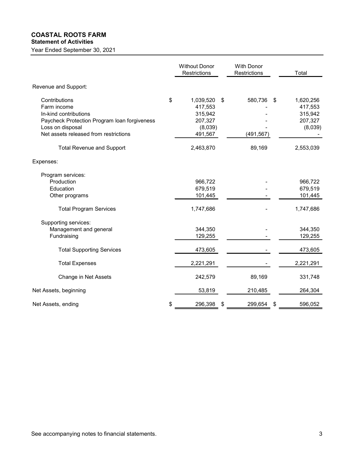#### COASTAL ROOTS FARM Statement of Activities

# Year Ended September 30, 2021

Without Donor<br>
Restrictions<br>
Restrictions<br>
1,039,520 \$ 580,736 \$ 1,620,256 Vithout Donor With Donor<br>
Restrictions Restrictions Total<br>
1,039,520 \$ 580,736 \$ 1,620,256<br>
417,553 - 417,553 Revenue and Support: **ASTAL ROOTS FARM**<br> **Contributions**<br>
Finded September 30, 2021<br> **Contributions**<br> **Contributions**<br> **Contributions**<br> **Contributions**<br> **Contributions**<br> **Contributions**<br> **Contributions**<br> **Contributions**<br> **Contributions**<br> **Cont** In-kind contributions 315,942 - 315,942 Paycheck Protection Program Ioan forgiveness 207,327 and 207,327 and 207,327 Loss on disposal (8,039) - (8,039) Net assets released from restrictions and the control of 491,567 (491,567) and the control of the control of the control of 491,567 (491,567) and the control of the control of the control of the control of the control of t Total Revenue and Support 2,463,870 89,169 2,553,039 Expenses: Program services: Production 966,722 - 966,722 Education 679,519 - 679,519 Other programs 101,445 101,445 Total Program Services 1,747,686 1,747,686 1,747,686 1,747,686 Supporting services: Management and general 344,350 344,350 Fundraising 129,255 - 129,255 Total Supporting Services and the control of the 473,605 and 473,605 and 473,605 and 473,605 Total Expenses 2,221,291 - 2,221,291 - 2,221,291 Change in Net Assets 242,579 89,169 331,748 Net Assets, beginning and the set of the set of the set of the set of the set of the set of the set of the set of the set of the set of the set of the set of the set of the set of the set of the set of the set of the set o Net Assets, ending \$ 296,398 \$ 299,654 \$ 596,052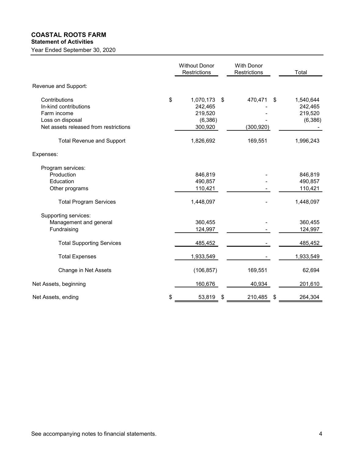# COASTAL ROOTS FARM

# Statement of Activities

| <b>COASTAL ROOTS FARM</b><br><b>Statement of Activities</b><br>Year Ended September 30, 2020 |                                          |                            |                                 |
|----------------------------------------------------------------------------------------------|------------------------------------------|----------------------------|---------------------------------|
|                                                                                              | <b>Without Donor</b><br>Restrictions     | With Donor<br>Restrictions | Total                           |
| Revenue and Support:                                                                         |                                          |                            |                                 |
| Contributions<br>In-kind contributions<br>Farm income                                        | \$<br>1,070,173 \$<br>242,465<br>219,520 | 470,471 \$                 | 1,540,644<br>242,465<br>219,520 |
| Loss on disposal<br>Net assets released from restrictions                                    | (6, 386)<br>300,920                      | (300, 920)                 | (6, 386)                        |
| <b>Total Revenue and Support</b>                                                             | 1,826,692                                | 169,551                    | 1,996,243                       |
| Expenses:                                                                                    |                                          |                            |                                 |
| Program services:<br>Production                                                              | 846,819                                  |                            | 846,819                         |
| Education<br>Other programs                                                                  | 490,857<br>110,421                       |                            | 490,857<br>110,421              |
| <b>Total Program Services</b>                                                                | 1,448,097                                |                            | 1,448,097                       |
| Supporting services:<br>Management and general<br>Fundraising                                | 360,455<br>124,997                       |                            | 360,455<br>124,997              |
| <b>Total Supporting Services</b>                                                             | 485,452                                  |                            | 485,452                         |
| <b>Total Expenses</b>                                                                        | 1,933,549                                |                            | 1,933,549                       |
| Change in Net Assets                                                                         | (106, 857)                               | 169,551                    | 62,694                          |
| Net Assets, beginning                                                                        | 160,676                                  | 40,934                     | 201,610                         |
| Net Assets, ending                                                                           | \$<br>$\frac{53,819}{8}$                 | $210,485$ \$               | 264,304                         |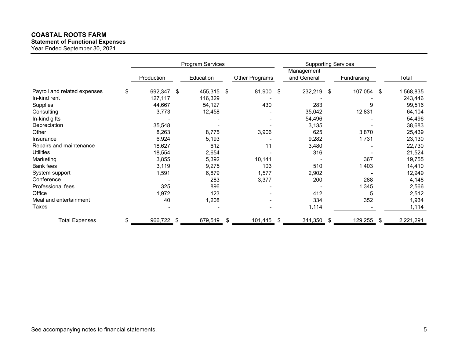# COASTAL ROOTS FARM

# Statement of Functional Expenses

|                              |                    | <b>Program Services</b>  |                          |                           | <b>Supporting Services</b> |           |
|------------------------------|--------------------|--------------------------|--------------------------|---------------------------|----------------------------|-----------|
|                              | Production         | Education                | Other Programs           | Management<br>and General | Fundraising                | Total     |
| Payroll and related expenses | \$<br>692,347 \$   | 455,315 \$               | 81,900 \$                | 232,219 \$                | 107,054 \$                 | 1,568,835 |
| In-kind rent                 | 127,117            | 116,329                  |                          |                           |                            | 243,446   |
| Supplies                     | 44,667             | 54,127                   | 430                      | 283                       | 9                          | 99,516    |
| Consulting                   | 3,773              | 12,458                   |                          | 35,042                    | 12,831                     | 64,104    |
| In-kind gifts                |                    | $\overline{\phantom{a}}$ | $\overline{\phantom{a}}$ | 54,496                    | $\overline{\phantom{a}}$   | 54,496    |
| Depreciation                 | 35,548             |                          |                          | 3,135                     | $\overline{\phantom{a}}$   | 38,683    |
| Other                        | 8,263              | 8,775                    | 3,906                    | 625                       | 3,870                      | 25,439    |
| Insurance                    | 6,924              | 5,193                    | $\overline{\phantom{a}}$ | 9,282                     | 1,731                      | 23,130    |
| Repairs and maintenance      | 18,627             | 612                      | 11                       | 3,480                     | $\overline{\phantom{a}}$   | 22,730    |
| Utilities                    | 18,554             | 2,654                    |                          | 316                       | $\overline{\phantom{a}}$   | 21,524    |
| Marketing                    | 3,855              | 5,392                    | 10,141                   | $\overline{\phantom{a}}$  | 367                        | 19,755    |
| <b>Bank fees</b>             | 3,119              | 9,275                    | 103                      | 510                       | 1,403                      | 14,410    |
| System support               | 1,591              | 6,879                    | 1,577                    | 2,902                     |                            | 12,949    |
| Conference                   |                    | 283                      | 3,377                    | 200                       | 288                        | 4,148     |
| Professional fees            | 325                | 896                      |                          |                           | 1,345                      | 2,566     |
| Office                       | 1,972              | 123                      |                          | 412                       | $\overline{5}$             | 2,512     |
| Meal and entertainment       | 40                 | 1,208                    |                          | 334                       | 352                        | 1,934     |
| Taxes                        |                    |                          |                          | 1,114                     |                            | 1,114     |
| <b>Total Expenses</b>        | \$<br>$966,722$ \$ | 679,519 \$               | $101,445$ \$             | $344,350$ \$              | $129,255$ \$               | 2,221,291 |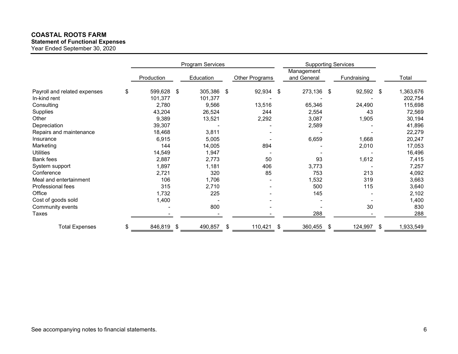# COASTAL ROOTS FARM

# Statement of Functional Expenses

| <b>COASTAL ROOTS FARM</b><br><b>Statement of Functional Expenses</b><br>Year Ended September 30, 2020 |                          |                          |                          |                          |                            |           |
|-------------------------------------------------------------------------------------------------------|--------------------------|--------------------------|--------------------------|--------------------------|----------------------------|-----------|
|                                                                                                       |                          |                          |                          |                          |                            |           |
|                                                                                                       |                          |                          |                          |                          |                            |           |
|                                                                                                       |                          |                          |                          |                          |                            |           |
|                                                                                                       |                          |                          |                          |                          |                            |           |
|                                                                                                       |                          |                          |                          |                          |                            |           |
|                                                                                                       |                          |                          |                          |                          |                            |           |
|                                                                                                       |                          |                          |                          |                          |                            |           |
|                                                                                                       |                          |                          |                          |                          |                            |           |
|                                                                                                       |                          |                          |                          |                          |                            |           |
|                                                                                                       |                          |                          |                          |                          |                            |           |
|                                                                                                       |                          |                          |                          |                          |                            |           |
|                                                                                                       |                          |                          |                          |                          |                            |           |
|                                                                                                       |                          | <b>Program Services</b>  |                          | Management               | <b>Supporting Services</b> |           |
|                                                                                                       | Production               | Education                | Other Programs           | and General              | Fundraising                | Total     |
| Payroll and related expenses                                                                          | \$<br>599,628 \$         | 305,386 \$               | 92,934<br>\$             | 273,136 \$               | 92,592 \$                  | 1,363,676 |
| In-kind rent                                                                                          | 101,377                  | 101,377                  |                          |                          |                            | 202,754   |
| Consulting                                                                                            | 2,780                    | 9,566                    | 13,516                   | 65,346                   | 24,490                     | 115,698   |
| Supplies                                                                                              | 43,204                   | 26,524                   | 244                      | 2,554                    | 43                         | 72,569    |
| Other                                                                                                 | 9,389                    | 13,521                   | 2,292                    | 3,087                    | 1,905                      | 30,194    |
| Depreciation                                                                                          | 39,307                   | $\overline{\phantom{a}}$ | $\sim$                   | 2,589                    | $\overline{\phantom{a}}$   | 41,896    |
| Repairs and maintenance                                                                               | 18,468                   | 3,811                    | $\overline{\phantom{a}}$ | $\blacksquare$           |                            | 22,279    |
| Insurance                                                                                             | 6,915                    | 5,005                    | $\sim$                   | 6,659                    | 1,668                      | 20,247    |
| Marketing                                                                                             | 144                      | 14,005                   | 894                      | $\blacksquare$           | 2,010                      | 17,053    |
| Utilities                                                                                             | 14,549                   | 1,947                    | $\overline{\phantom{a}}$ | $\overline{\phantom{a}}$ |                            | 16,496    |
| Bank fees                                                                                             | 2,887                    | 2,773                    | 50                       | 93                       | 1,612                      | 7,415     |
| System support                                                                                        | 1,897                    | 1,181                    | 406                      | 3,773                    |                            | 7,257     |
| Conference                                                                                            | 2,721                    | 320                      | 85                       | 753                      | 213                        | 4,092     |
| Meal and entertainment                                                                                | 106                      | 1,706                    | $\overline{\phantom{a}}$ | 1,532                    | 319                        | 3,663     |
| Professional fees                                                                                     | 315                      | 2,710                    |                          | 500                      | 115                        | 3,640     |
| Office                                                                                                | 1,732                    | 225                      |                          | 145                      |                            | 2,102     |
|                                                                                                       | 1,400                    | $\blacksquare$           |                          |                          |                            | 1,400     |
| Cost of goods sold                                                                                    | $\overline{\phantom{a}}$ | 800                      |                          | $\overline{\phantom{a}}$ | $30\,$                     | 830       |
|                                                                                                       | $\overline{\phantom{a}}$ | $\overline{\phantom{a}}$ |                          | 288                      |                            | 288       |
| Community events<br>Taxes                                                                             |                          |                          |                          |                          |                            |           |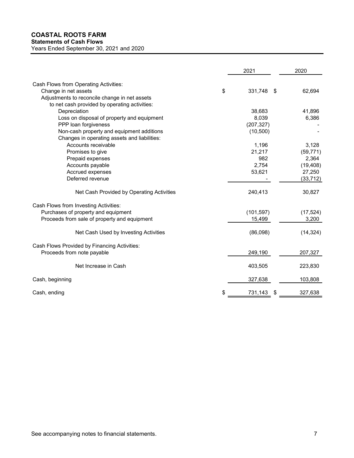| <b>COASTAL ROOTS FARM</b><br><b>Statements of Cash Flows</b> |                       |           |
|--------------------------------------------------------------|-----------------------|-----------|
| Years Ended September 30, 2021 and 2020                      |                       |           |
|                                                              |                       |           |
|                                                              | 2021                  | 2020      |
| Cash Flows from Operating Activities:                        |                       |           |
| Change in net assets                                         | \$<br>331,748<br>- \$ | 62,694    |
| Adjustments to reconcile change in net assets                |                       |           |
| to net cash provided by operating activities:                |                       |           |
| Depreciation                                                 | 38,683                | 41,896    |
| Loss on disposal of property and equipment                   | 8,039                 | 6,386     |
| PPP loan forgiveness                                         | (207, 327)            |           |
| Non-cash property and equipment additions                    | (10,500)              |           |
| Changes in operating assets and liabilities:                 |                       |           |
| Accounts receivable                                          | 1,196                 | 3,128     |
| Promises to give                                             | 21,217                | (59, 771) |
| Prepaid expenses                                             | 982                   | 2,364     |
| Accounts payable                                             | 2,754                 | (19, 408) |
| Accrued expenses                                             | 53,621                | 27,250    |
| Deferred revenue                                             |                       | (33, 712) |
| Net Cash Provided by Operating Activities                    | 240,413               | 30,827    |
| Cash Flows from Investing Activities:                        |                       |           |
| Purchases of property and equipment                          | (101, 597)            | (17, 524) |
| Proceeds from sale of property and equipment                 | 15,499                | 3,200     |
| Net Cash Used by Investing Activities                        | (86,098)              | (14, 324) |
| Cash Flows Provided by Financing Activities:                 |                       |           |
| Proceeds from note payable                                   | 249,190               | 207,327   |
|                                                              |                       |           |
| Net Increase in Cash                                         | 403,505               | 223,830   |
| Cash, beginning                                              | 327,638               | 103,808   |
| Cash, ending                                                 | 731,143 \$            | 327,638   |
|                                                              |                       |           |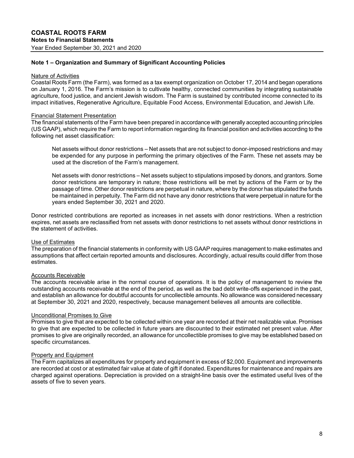# Note 1 – Organization and Summary of Significant Accounting Policies

#### Nature of Activities

Coastal Roots Farm (the Farm), was formed as a tax exempt organization on October 17, 2014 and began operations on January 1, 2016. The Farm's mission is to cultivate healthy, connected communities by integrating sustainable agriculture, food justice, and ancient Jewish wisdom. The Farm is sustained by contributed income connected to its impact initiatives, Regenerative Agriculture, Equitable Food Access, Environmental Education, and Jewish Life.

#### Financial Statement Presentation

The financial statements of the Farm have been prepared in accordance with generally accepted accounting principles (US GAAP), which require the Farm to report information regarding its financial position and activities according to the following net asset classification:

Net assets without donor restrictions – Net assets that are not subject to donor-imposed restrictions and may be expended for any purpose in performing the primary objectives of the Farm. These net assets may be used at the discretion of the Farm's management.

Net assets with donor restrictions – Net assets subject to stipulations imposed by donors, and grantors. Some donor restrictions are temporary in nature; those restrictions will be met by actions of the Farm or by the passage of time. Other donor restrictions are perpetual in nature, where by the donor has stipulated the funds be maintained in perpetuity. The Farm did not have any donor restrictions that were perpetual in nature for the years ended September 30, 2021 and 2020.

Donor restricted contributions are reported as increases in net assets with donor restrictions. When a restriction expires, net assets are reclassified from net assets with donor restrictions to net assets without donor restrictions in the statement of activities.

## Use of Estimates

The preparation of the financial statements in conformity with US GAAP requires management to make estimates and assumptions that affect certain reported amounts and disclosures. Accordingly, actual results could differ from those estimates.

## Accounts Receivable

The accounts receivable arise in the normal course of operations. It is the policy of management to review the outstanding accounts receivable at the end of the period, as well as the bad debt write-offs experienced in the past, and establish an allowance for doubtful accounts for uncollectible amounts. No allowance was considered necessary at September 30, 2021 and 2020, respectively, because management believes all amounts are collectible.

## Unconditional Promises to Give

Promises to give that are expected to be collected within one year are recorded at their net realizable value. Promises to give that are expected to be collected in future years are discounted to their estimated net present value. After promises to give are originally recorded, an allowance for uncollectible promises to give may be established based on specific circumstances.

## Property and Equipment

The Farm capitalizes all expenditures for property and equipment in excess of \$2,000. Equipment and improvements are recorded at cost or at estimated fair value at date of gift if donated. Expenditures for maintenance and repairs are charged against operations. Depreciation is provided on a straight-line basis over the estimated useful lives of the assets of five to seven years.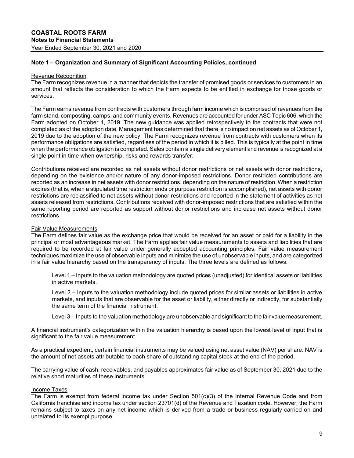# Note 1 – Organization and Summary of Significant Accounting Policies, continued

#### Revenue Recognition

The Farm recognizes revenue in a manner that depicts the transfer of promised goods or services to customers in an amount that reflects the consideration to which the Farm expects to be entitled in exchange for those goods or services.

The Farm earns revenue from contracts with customers through farm income which is comprised of revenues from the farm stand, composting, camps, and community events. Revenues are accounted for under ASC Topic 606, which the Farm adopted on October 1, 2019. The new guidance was applied retrospectively to the contracts that were not completed as of the adoption date. Management has determined that there is no impact on net assets as of October 1, 2019 due to the adoption of the new policy. The Farm recognizes revenue from contracts with customers when its performance obligations are satisfied, regardless of the period in which it is billed. This is typically at the point in time when the performance obligation is completed. Sales contain a single delivery element and revenue is recognized at a single point in time when ownership, risks and rewards transfer.

Contributions received are recorded as net assets without donor restrictions or net assets with donor restrictions, depending on the existence and/or nature of any donor-imposed restrictions. Donor restricted contributions are reported as an increase in net assets with donor restrictions, depending on the nature of restriction. When a restriction expires (that is, when a stipulated time restriction ends or purpose restriction is accomplished), net assets with donor restrictions are reclassified to net assets without donor restrictions and reported in the statement of activities as net assets released from restrictions. Contributions received with donor-imposed restrictions that are satisfied within the same reporting period are reported as support without donor restrictions and increase net assets without donor restrictions.

#### Fair Value Measurements

The Farm defines fair value as the exchange price that would be received for an asset or paid for a liability in the principal or most advantageous market. The Farm applies fair value measurements to assets and liabilities that are required to be recorded at fair value under generally accepted accounting principles. Fair value measurement techniques maximize the use of observable inputs and minimize the use of unobservable inputs, and are categorized in a fair value hierarchy based on the transparency of inputs. The three levels are defined as follows:

Level 1 – Inputs to the valuation methodology are quoted prices (unadjusted) for identical assets or liabilities in active markets.

Level 2 – Inputs to the valuation methodology include quoted prices for similar assets or liabilities in active markets, and inputs that are observable for the asset or liability, either directly or indirectly, for substantially the same term of the financial instrument.

Level 3 – Inputs to the valuation methodology are unobservable and significant to the fair value measurement.

A financial instrument's categorization within the valuation hierarchy is based upon the lowest level of input that is significant to the fair value measurement.

As a practical expedient, certain financial instruments may be valued using net asset value (NAV) per share. NAV is the amount of net assets attributable to each share of outstanding capital stock at the end of the period.

The carrying value of cash, receivables, and payables approximates fair value as of September 30, 2021 due to the relative short maturities of these instruments.

## Income Taxes

The Farm is exempt from federal income tax under Section 501(c)(3) of the Internal Revenue Code and from California franchise and income tax under section 23701(d) of the Revenue and Taxation code. However, the Farm remains subject to taxes on any net income which is derived from a trade or business regularly carried on and unrelated to its exempt purpose.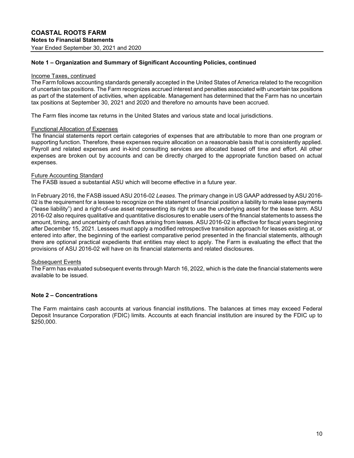# Note 1 – Organization and Summary of Significant Accounting Policies, continued

#### Income Taxes, continued

The Farm follows accounting standards generally accepted in the United States of America related to the recognition of uncertain tax positions. The Farm recognizes accrued interest and penalties associated with uncertain tax positions as part of the statement of activities, when applicable. Management has determined that the Farm has no uncertain tax positions at September 30, 2021 and 2020 and therefore no amounts have been accrued.

The Farm files income tax returns in the United States and various state and local jurisdictions.

#### Functional Allocation of Expenses

The financial statements report certain categories of expenses that are attributable to more than one program or supporting function. Therefore, these expenses require allocation on a reasonable basis that is consistently applied. Payroll and related expenses and in-kind consulting services are allocated based off time and effort. All other expenses are broken out by accounts and can be directly charged to the appropriate function based on actual expenses.

#### Future Accounting Standard

The FASB issued a substantial ASU which will become effective in a future year.

In February 2016, the FASB issued ASU 2016-02 Leases. The primary change in US GAAP addressed by ASU 2016- 02 is the requirement for a lessee to recognize on the statement of financial position a liability to make lease payments ("lease liability") and a right-of-use asset representing its right to use the underlying asset for the lease term. ASU 2016-02 also requires qualitative and quantitative disclosures to enable users of the financial statements to assess the amount, timing, and uncertainty of cash flows arising from leases. ASU 2016-02 is effective for fiscal years beginning after December 15, 2021. Lessees must apply a modified retrospective transition approach for leases existing at, or entered into after, the beginning of the earliest comparative period presented in the financial statements, although there are optional practical expedients that entities may elect to apply. The Farm is evaluating the effect that the provisions of ASU 2016-02 will have on its financial statements and related disclosures.

## Subsequent Events

The Farm has evaluated subsequent events through March 16, 2022, which is the date the financial statements were available to be issued.

## Note 2 – Concentrations

The Farm maintains cash accounts at various financial institutions. The balances at times may exceed Federal Deposit Insurance Corporation (FDIC) limits. Accounts at each financial institution are insured by the FDIC up to \$250,000.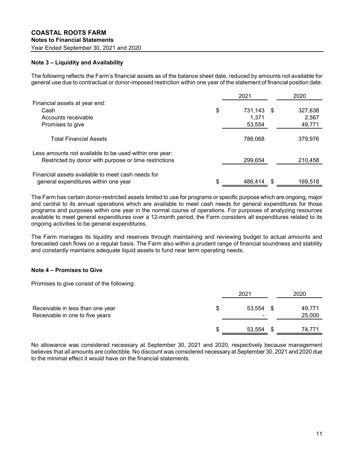# Note 3 – Liquidity and Availability

| <b>COASTAL ROOTS FARM</b>                                                                                                                                                                                                                         |                  |         |
|---------------------------------------------------------------------------------------------------------------------------------------------------------------------------------------------------------------------------------------------------|------------------|---------|
|                                                                                                                                                                                                                                                   |                  |         |
|                                                                                                                                                                                                                                                   |                  |         |
|                                                                                                                                                                                                                                                   |                  |         |
| <b>Notes to Financial Statements</b>                                                                                                                                                                                                              |                  |         |
| Year Ended September 30, 2021 and 2020                                                                                                                                                                                                            |                  |         |
|                                                                                                                                                                                                                                                   |                  |         |
| Note 3 - Liquidity and Availability                                                                                                                                                                                                               |                  |         |
| The following reflects the Farm's financial assets as of the balance sheet date, reduced by amounts not available for<br>general use due to contractual or donor-imposed restriction within one year of the statement of financial position date. |                  |         |
|                                                                                                                                                                                                                                                   | 2021             | 2020    |
|                                                                                                                                                                                                                                                   |                  |         |
| Financial assets at year end:                                                                                                                                                                                                                     |                  |         |
| Cash                                                                                                                                                                                                                                              | \$<br>731,143 \$ | 327,638 |
| Accounts receivable                                                                                                                                                                                                                               | 1,371            | 2,567   |
| Promises to give                                                                                                                                                                                                                                  | 53,554           | 49,771  |
| <b>Total Financial Assets</b>                                                                                                                                                                                                                     | 786,068          | 379,976 |
|                                                                                                                                                                                                                                                   |                  |         |
| Less amounts not available to be used within one year:<br>Restricted by donor with purpose or time restrictions                                                                                                                                   | 299,654          | 210,458 |
| Financial assets available to meet cash needs for                                                                                                                                                                                                 |                  |         |

## Note 4 – Promises to Give

| Restricted by donor with purpose or time restrictions                                                                                                                                                                                                                                                                                                                                                                                                                                                                           |    | 299,654   |      | 210,458          |
|---------------------------------------------------------------------------------------------------------------------------------------------------------------------------------------------------------------------------------------------------------------------------------------------------------------------------------------------------------------------------------------------------------------------------------------------------------------------------------------------------------------------------------|----|-----------|------|------------------|
| Financial assets available to meet cash needs for                                                                                                                                                                                                                                                                                                                                                                                                                                                                               |    |           |      |                  |
| general expenditures within one year                                                                                                                                                                                                                                                                                                                                                                                                                                                                                            |    | 486,414   | - \$ | 169,518          |
| The Farm has certain donor-restricted assets limited to use for programs or specific purpose which are ongoing, major<br>and central to its annual operations which are available to meet cash needs for general expenditures for those<br>programs and purposes within one year in the normal course of operations. For purposes of analyzing resources<br>available to meet general expenditures over a 12-month period, the Farm considers all expenditures related to its<br>ongoing activities to be general expenditures. |    |           |      |                  |
| The Farm manages its liquidity and reserves through maintaining and reviewing budget to actual amounts and<br>forecasted cash flows on a regular basis. The Farm also within a prudent range of financial soundness and stability<br>and constantly maintains adequate liquid assets to fund near term operating needs.                                                                                                                                                                                                         |    |           |      |                  |
| Note 4 – Promises to Give                                                                                                                                                                                                                                                                                                                                                                                                                                                                                                       |    |           |      |                  |
| Promises to give consist of the following:                                                                                                                                                                                                                                                                                                                                                                                                                                                                                      |    |           |      |                  |
|                                                                                                                                                                                                                                                                                                                                                                                                                                                                                                                                 |    | 2021      |      | 2020             |
| Receivable in less than one year<br>Receivable in one to five years                                                                                                                                                                                                                                                                                                                                                                                                                                                             | S  | 53,554 \$ |      | 49,771<br>25,000 |
|                                                                                                                                                                                                                                                                                                                                                                                                                                                                                                                                 | ß. | 53,554    |      | 74,771           |
| No allowance was considered necessary at Sentember 30, 2021 and 2020, respectively because management                                                                                                                                                                                                                                                                                                                                                                                                                           |    |           |      |                  |

No allowance was considered necessary at September 30, 2021 and 2020, respectively because management believes that all amounts are collectible. No discount was considered necessary at September 30, 2021 and 2020 due to the minimal effect it would have on the financial statements.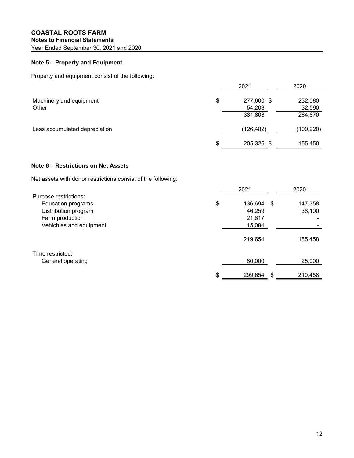# COASTAL ROOTS FARM Notes to Financial Statements

# Note 5 – Property and Equipment

| <b>COASTAL ROOTS FARM</b><br><b>Notes to Financial Statements</b>                                                 |                                                |                   |
|-------------------------------------------------------------------------------------------------------------------|------------------------------------------------|-------------------|
| Year Ended September 30, 2021 and 2020                                                                            |                                                |                   |
| Note 5 - Property and Equipment                                                                                   |                                                |                   |
| Property and equipment consist of the following:                                                                  |                                                |                   |
|                                                                                                                   | 2021                                           | 2020              |
| Machinery and equipment<br>Other                                                                                  | \$<br>277,600 \$<br>54,208                     | 232,080<br>32,590 |
|                                                                                                                   | 331,808                                        | 264,670           |
| Less accumulated depreciation                                                                                     | (126, 482)                                     | (109, 220)        |
|                                                                                                                   | \$<br>205,326 \$                               | 155,450           |
| Note 6 - Restrictions on Net Assets                                                                               |                                                |                   |
| Net assets with donor restrictions consist of the following:                                                      |                                                |                   |
|                                                                                                                   | 2021                                           | 2020              |
| Purpose restrictions:<br>Education programs<br>Distribution program<br>Farm production<br>Vehichles and equipment | \$<br>136,694 \$<br>46,259<br>21,617<br>15,084 | 147,358<br>38,100 |
|                                                                                                                   | 219.654                                        | 185.458           |

# Note 6 – Restrictions on Net Assets

|                           | 2021             | 2020          |  |
|---------------------------|------------------|---------------|--|
| Purpose restrictions:     |                  |               |  |
| <b>Education programs</b> | \$<br>136,694 \$ | 147,358       |  |
| Distribution program      | 46,259           | 38,100        |  |
| Farm production           | 21,617           |               |  |
| Vehichles and equipment   | 15,084           |               |  |
|                           | 219,654          | 185,458       |  |
| Time restricted:          |                  |               |  |
| General operating         | 80,000           | 25,000        |  |
|                           | \$<br>299,654    | \$<br>210,458 |  |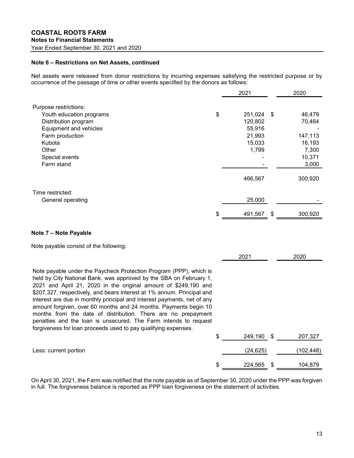## Note 6 – Restrictions on Net Assets, continued

| <b>Notes to Financial Statements</b><br>Year Ended September 30, 2021 and 2020<br>Note 6 - Restrictions on Net Assets, continued<br>Net assets were released from donor restrictions by incurring expenses satisfying the restricted purpose or by<br>occurrence of the passage of time or other events specified by the donors as follows:<br>2020<br>2021<br>Purpose restrictions:<br>251,024 \$<br>Youth education programs<br>\$<br>46,479<br>120,802<br>Distribution program<br>70,464<br>55,916<br>Equipment and vehicles<br>Farm production<br>21,993<br>147,113<br>15,033<br>Kubota<br>16,193<br>1,799<br>Other<br>7,300<br>10,371<br>Special events<br>3,000<br>Farm stand<br>466,567<br>300,920<br>Time restricted:<br>25,000<br>General operating<br>491,567<br>300,920<br>- \$ |                                                                                                                                                                                                                                                                                                                                                                                                                                                                                                                                                                           |  |  |
|--------------------------------------------------------------------------------------------------------------------------------------------------------------------------------------------------------------------------------------------------------------------------------------------------------------------------------------------------------------------------------------------------------------------------------------------------------------------------------------------------------------------------------------------------------------------------------------------------------------------------------------------------------------------------------------------------------------------------------------------------------------------------------------------|---------------------------------------------------------------------------------------------------------------------------------------------------------------------------------------------------------------------------------------------------------------------------------------------------------------------------------------------------------------------------------------------------------------------------------------------------------------------------------------------------------------------------------------------------------------------------|--|--|
|                                                                                                                                                                                                                                                                                                                                                                                                                                                                                                                                                                                                                                                                                                                                                                                            |                                                                                                                                                                                                                                                                                                                                                                                                                                                                                                                                                                           |  |  |
|                                                                                                                                                                                                                                                                                                                                                                                                                                                                                                                                                                                                                                                                                                                                                                                            |                                                                                                                                                                                                                                                                                                                                                                                                                                                                                                                                                                           |  |  |
|                                                                                                                                                                                                                                                                                                                                                                                                                                                                                                                                                                                                                                                                                                                                                                                            |                                                                                                                                                                                                                                                                                                                                                                                                                                                                                                                                                                           |  |  |
|                                                                                                                                                                                                                                                                                                                                                                                                                                                                                                                                                                                                                                                                                                                                                                                            |                                                                                                                                                                                                                                                                                                                                                                                                                                                                                                                                                                           |  |  |
|                                                                                                                                                                                                                                                                                                                                                                                                                                                                                                                                                                                                                                                                                                                                                                                            |                                                                                                                                                                                                                                                                                                                                                                                                                                                                                                                                                                           |  |  |
|                                                                                                                                                                                                                                                                                                                                                                                                                                                                                                                                                                                                                                                                                                                                                                                            |                                                                                                                                                                                                                                                                                                                                                                                                                                                                                                                                                                           |  |  |
|                                                                                                                                                                                                                                                                                                                                                                                                                                                                                                                                                                                                                                                                                                                                                                                            | Note payable consist of the following:                                                                                                                                                                                                                                                                                                                                                                                                                                                                                                                                    |  |  |
|                                                                                                                                                                                                                                                                                                                                                                                                                                                                                                                                                                                                                                                                                                                                                                                            |                                                                                                                                                                                                                                                                                                                                                                                                                                                                                                                                                                           |  |  |
| 2021<br>2020                                                                                                                                                                                                                                                                                                                                                                                                                                                                                                                                                                                                                                                                                                                                                                               | Note payable under the Paycheck Protection Program (PPP), which is<br>held by City National Bank, was approved by the SBA on February 1,<br>2021 and April 21, 2020 in the original amount of \$249,190 and<br>\$207,327, respectively, and bears interest at 1% annum. Principal and<br>interest are due in monthly principal and interest payments, net of any<br>amount forgiven, over 60 months and 24 months. Payments begin 10<br>months from the date of distribution. There are no prepayment<br>penalties and the loan is unsecured. The Farm intends to request |  |  |

# Note 7 – Note Payable

| Kubota                                                                                                                                                                                                                                                                                                                                                                                                                                                                                                                                                                                                                                      | 15,033        | 16,193        |  |
|---------------------------------------------------------------------------------------------------------------------------------------------------------------------------------------------------------------------------------------------------------------------------------------------------------------------------------------------------------------------------------------------------------------------------------------------------------------------------------------------------------------------------------------------------------------------------------------------------------------------------------------------|---------------|---------------|--|
| Other                                                                                                                                                                                                                                                                                                                                                                                                                                                                                                                                                                                                                                       | 1,799         | 7,300         |  |
| Special events                                                                                                                                                                                                                                                                                                                                                                                                                                                                                                                                                                                                                              |               | 10,371        |  |
| Farm stand                                                                                                                                                                                                                                                                                                                                                                                                                                                                                                                                                                                                                                  |               | 3,000         |  |
|                                                                                                                                                                                                                                                                                                                                                                                                                                                                                                                                                                                                                                             | 466,567       | 300,920       |  |
| Time restricted:                                                                                                                                                                                                                                                                                                                                                                                                                                                                                                                                                                                                                            |               |               |  |
| General operating                                                                                                                                                                                                                                                                                                                                                                                                                                                                                                                                                                                                                           | 25,000        |               |  |
|                                                                                                                                                                                                                                                                                                                                                                                                                                                                                                                                                                                                                                             | \$<br>491,567 | \$<br>300,920 |  |
| Note 7 - Note Payable                                                                                                                                                                                                                                                                                                                                                                                                                                                                                                                                                                                                                       |               |               |  |
| Note payable consist of the following:                                                                                                                                                                                                                                                                                                                                                                                                                                                                                                                                                                                                      |               |               |  |
|                                                                                                                                                                                                                                                                                                                                                                                                                                                                                                                                                                                                                                             | 2021          | 2020          |  |
| Note payable under the Paycheck Protection Program (PPP), which is<br>held by City National Bank, was approved by the SBA on February 1,<br>2021 and April 21, 2020 in the original amount of \$249,190 and<br>\$207,327, respectively, and bears interest at 1% annum. Principal and<br>interest are due in monthly principal and interest payments, net of any<br>amount forgiven, over 60 months and 24 months. Payments begin 10<br>months from the date of distribution. There are no prepayment<br>penalties and the loan is unsecured. The Farm intends to request<br>forgiveness for loan proceeds used to pay qualifying expenses. |               |               |  |
|                                                                                                                                                                                                                                                                                                                                                                                                                                                                                                                                                                                                                                             | \$<br>249,190 | \$<br>207,327 |  |
| Less: current portion                                                                                                                                                                                                                                                                                                                                                                                                                                                                                                                                                                                                                       | (24, 625)     | (102, 448)    |  |
|                                                                                                                                                                                                                                                                                                                                                                                                                                                                                                                                                                                                                                             | \$<br>224,565 | \$<br>104,879 |  |
|                                                                                                                                                                                                                                                                                                                                                                                                                                                                                                                                                                                                                                             |               |               |  |

On April 30, 2021, the Farm was notified that the note payable as of September 30, 2020 under the PPP was forgiven in full. The forgiveness balance is reported as PPP loan forgiveness on the statement of activities.